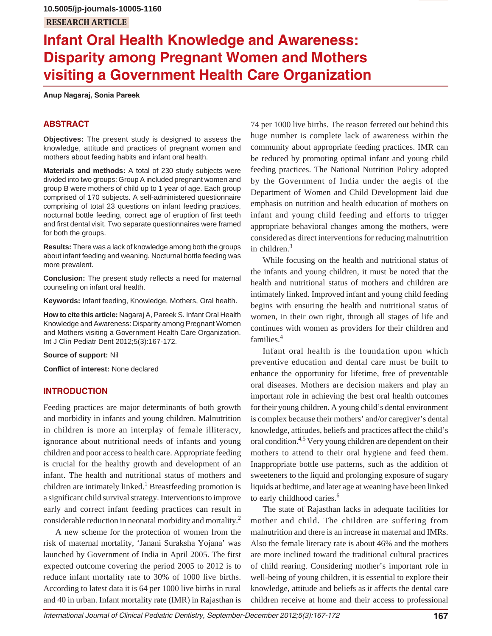# **Infant Oral Health Knowledge and Awareness: Disparity among Pregnant Women and Mothers visiting a Government Health Care Organization**

**Anup Nagaraj, Sonia Pareek**

# **ABSTRACT**

**Objectives:** The present study is designed to assess the knowledge, attitude and practices of pregnant women and mothers about feeding habits and infant oral health.

**Materials and methods:** A total of 230 study subjects were divided into two groups: Group A included pregnant women and group B were mothers of child up to 1 year of age. Each group comprised of 170 subjects. A self-administered questionnaire comprising of total 23 questions on infant feeding practices, nocturnal bottle feeding, correct age of eruption of first teeth and first dental visit. Two separate questionnaires were framed for both the groups.

**Results:** There was a lack of knowledge among both the groups about infant feeding and weaning. Nocturnal bottle feeding was more prevalent.

**Conclusion:** The present study reflects a need for maternal counseling on infant oral health.

**Keywords:** Infant feeding, Knowledge, Mothers, Oral health.

**How to cite this article:** Nagaraj A, Pareek S. Infant Oral Health Knowledge and Awareness: Disparity among Pregnant Women and Mothers visiting a Government Health Care Organization. Int J Clin Pediatr Dent 2012;5(3):167-172.

**Source of support:** Nil

**Conflict of interest:** None declared

# **INTRODUCTION**

Feeding practices are major determinants of both growth and morbidity in infants and young children. Malnutrition in children is more an interplay of female illiteracy, ignorance about nutritional needs of infants and young children and poor access to health care. Appropriate feeding is crucial for the healthy growth and development of an infant. The health and nutritional status of mothers and children are intimately linked.<sup>1</sup> Breastfeeding promotion is a significant child survival strategy. Interventions to improve early and correct infant feeding practices can result in considerable reduction in neonatal morbidity and mortality.2

A new scheme for the protection of women from the risk of maternal mortality, 'Janani Suraksha Yojana' was launched by Government of India in April 2005. The first expected outcome covering the period 2005 to 2012 is to reduce infant mortality rate to 30% of 1000 live births. According to latest data it is 64 per 1000 live births in rural and 40 in urban. Infant mortality rate (IMR) in Rajasthan is

74 per 1000 live births. The reason ferreted out behind this huge number is complete lack of awareness within the community about appropriate feeding practices. IMR can be reduced by promoting optimal infant and young child feeding practices. The National Nutrition Policy adopted by the Government of India under the aegis of the Department of Women and Child Development laid due emphasis on nutrition and health education of mothers on infant and young child feeding and efforts to trigger appropriate behavioral changes among the mothers, were considered as direct interventions for reducing malnutrition in children.3

While focusing on the health and nutritional status of the infants and young children, it must be noted that the health and nutritional status of mothers and children are intimately linked. Improved infant and young child feeding begins with ensuring the health and nutritional status of women, in their own right, through all stages of life and continues with women as providers for their children and families.4

Infant oral health is the foundation upon which preventive education and dental care must be built to enhance the opportunity for lifetime, free of preventable oral diseases. Mothers are decision makers and play an important role in achieving the best oral health outcomes for their young children. A young child's dental environment is complex because their mothers' and/or caregiver's dental knowledge, attitudes, beliefs and practices affect the child's oral condition.4,5 Very young children are dependent on their mothers to attend to their oral hygiene and feed them. Inappropriate bottle use patterns, such as the addition of sweeteners to the liquid and prolonging exposure of sugary liquids at bedtime, and later age at weaning have been linked to early childhood caries.<sup>6</sup>

The state of Rajasthan lacks in adequate facilities for mother and child. The children are suffering from malnutrition and there is an increase in maternal and IMRs. Also the female literacy rate is about 46% and the mothers are more inclined toward the traditional cultural practices of child rearing. Considering mother's important role in well-being of young children, it is essential to explore their knowledge, attitude and beliefs as it affects the dental care children receive at home and their access to professional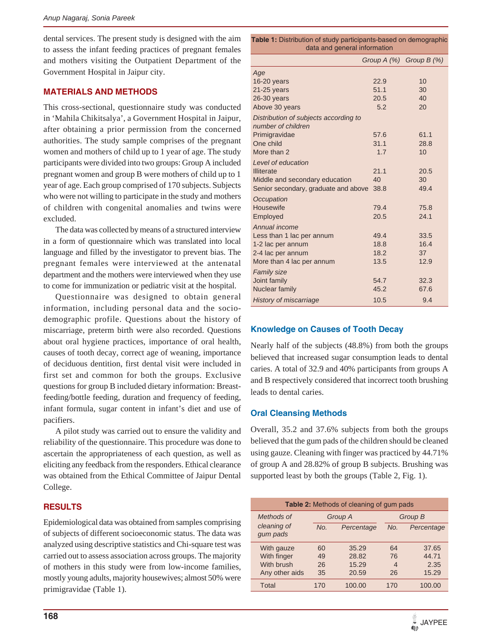dental services. The present study is designed with the aim to assess the infant feeding practices of pregnant females and mothers visiting the Outpatient Department of the Government Hospital in Jaipur city.

#### **MATERIALS AND METHODS**

This cross-sectional, questionnaire study was conducted in 'Mahila Chikitsalya', a Government Hospital in Jaipur, after obtaining a prior permission from the concerned authorities. The study sample comprises of the pregnant women and mothers of child up to 1 year of age. The study participants were divided into two groups: Group A included pregnant women and group B were mothers of child up to 1 year of age. Each group comprised of 170 subjects. Subjects who were not willing to participate in the study and mothers of children with congenital anomalies and twins were excluded.

The data was collected by means of a structured interview in a form of questionnaire which was translated into local language and filled by the investigator to prevent bias. The pregnant females were interviewed at the antenatal department and the mothers were interviewed when they use to come for immunization or pediatric visit at the hospital.

Questionnaire was designed to obtain general information, including personal data and the sociodemographic profile. Questions about the history of miscarriage, preterm birth were also recorded. Questions about oral hygiene practices, importance of oral health, causes of tooth decay, correct age of weaning, importance of deciduous dentition, first dental visit were included in first set and common for both the groups. Exclusive questions for group B included dietary information: Breastfeeding/bottle feeding, duration and frequency of feeding, infant formula, sugar content in infant's diet and use of pacifiers.

A pilot study was carried out to ensure the validity and reliability of the questionnaire. This procedure was done to ascertain the appropriateness of each question, as well as eliciting any feedback from the responders. Ethical clearance was obtained from the Ethical Committee of Jaipur Dental College.

# **RESULTS**

Epidemiological data was obtained from samples comprising of subjects of different socioeconomic status. The data was analyzed using descriptive statistics and Chi-square test was carried out to assess association across groups. The majority of mothers in this study were from low-income families, mostly young adults, majority housewives; almost 50% were primigravidae (Table 1).

| data and general information          |                             |      |  |
|---------------------------------------|-----------------------------|------|--|
|                                       | Group $A(\%)$ Group $B(\%)$ |      |  |
| Age                                   |                             |      |  |
| 16-20 years                           | 22.9                        | 10   |  |
| $21-25$ years                         | 51.1                        | 30   |  |
| $26-30$ years                         | 20.5                        | 40   |  |
| Above 30 years                        | 5.2                         | 20   |  |
| Distribution of subjects according to |                             |      |  |
| number of children                    |                             |      |  |
| Primigravidae                         | 57.6                        | 61.1 |  |
| One child<br>More than 2              | 31.1                        | 28.8 |  |
|                                       | 1.7                         | 10   |  |
| Level of education                    |                             |      |  |
| <b>Illiterate</b>                     | 21.1                        | 20.5 |  |
| Middle and secondary education        | 40                          | 30   |  |
| Senior secondary, graduate and above  | 38.8                        | 49.4 |  |
| Occupation                            |                             |      |  |
| Housewife                             | 79.4                        | 75.8 |  |
| Employed                              | 20.5                        | 24.1 |  |
| Annual income                         |                             |      |  |
| Less than 1 lac per annum             | 49.4                        | 33.5 |  |
| 1-2 lac per annum                     | 18.8                        | 16.4 |  |
| 2-4 lac per annum                     | 18.2                        | 37   |  |
| More than 4 lac per annum             | 13.5                        | 12.9 |  |
| <b>Family size</b>                    |                             |      |  |
| Joint family                          | 54.7                        | 32.3 |  |
| Nuclear family                        | 45.2                        | 67.6 |  |
| <b>History of miscarriage</b>         | 10.5                        | 9.4  |  |

**Table 1:** Distribution of study participants-based on demographic

# **Knowledge on Causes of Tooth Decay**

Nearly half of the subjects (48.8%) from both the groups believed that increased sugar consumption leads to dental caries. A total of 32.9 and 40% participants from groups A and B respectively considered that incorrect tooth brushing leads to dental caries.

# **Oral Cleansing Methods**

Overall, 35.2 and 37.6% subjects from both the groups believed that the gum pads of the children should be cleaned using gauze. Cleaning with finger was practiced by 44.71% of group A and 28.82% of group B subjects. Brushing was supported least by both the groups (Table 2, Fig. 1).

| <b>Table 2:</b> Methods of cleaning of gum pads |         |            |         |            |
|-------------------------------------------------|---------|------------|---------|------------|
| Methods of                                      | Group A |            | Group B |            |
| cleaning of<br>qum pads                         | No.     | Percentage | No.     | Percentage |
| With gauze                                      | 60      | 35.29      | 64      | 37.65      |
| With finger                                     | 49      | 28.82      | 76      | 44.71      |
| With brush                                      | 26      | 15.29      | 4       | 2.35       |
| Any other aids                                  | 35      | 20.59      | 26      | 15.29      |
| Total                                           | 170     | 100.00     | 170     | 100.00     |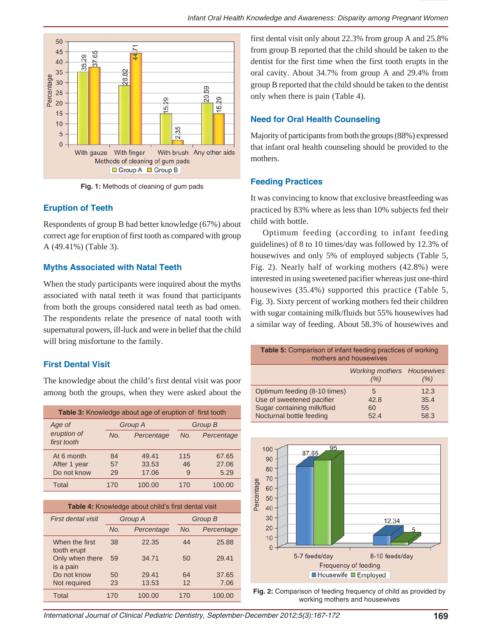

**Fig. 1:** Methods of cleaning of gum pads

# **Eruption of Teeth**

Respondents of group B had better knowledge (67%) about correct age for eruption of first tooth as compared with group A (49.41%) (Table 3).

# **Myths Associated with Natal Teeth**

When the study participants were inquired about the myths associated with natal teeth it was found that participants from both the groups considered natal teeth as bad omen. The respondents relate the presence of natal tooth with supernatural powers, ill-luck and were in belief that the child will bring misfortune to the family.

# **First Dental Visit**

The knowledge about the child's first dental visit was poor among both the groups, when they were asked about the

| <b>Table 3:</b> Knowledge about age of eruption of first tooth |     |                |     |            |  |
|----------------------------------------------------------------|-----|----------------|-----|------------|--|
| Age of                                                         |     | <b>Group A</b> |     | Group B    |  |
| eruption of<br>first tooth                                     | No. | Percentage     | No. | Percentage |  |
| At 6 month                                                     | 84  | 49.41          | 115 | 67.65      |  |
| After 1 year                                                   | 57  | 33.53          | 46  | 27.06      |  |
| Do not know                                                    | 29  | 17.06          | 9   | 5.29       |  |
| Total                                                          | 170 | 100.00         | 170 | 100.00     |  |

| <b>Table 4:</b> Knowledge about child's first dental visit |         |            |         |            |
|------------------------------------------------------------|---------|------------|---------|------------|
| First dental visit                                         | Group A |            | Group B |            |
|                                                            | No.     | Percentage | No.     | Percentage |
| When the first<br>tooth erupt                              | 38      | 22.35      | 44      | 25.88      |
| Only when there<br>is a pain                               | 59      | 34.71      | 50      | 29.41      |
| Do not know                                                | 50      | 29.41      | 64      | 37.65      |
| Not required                                               | 23      | 13.53      | 12      | 7.06       |
| Total                                                      | 170     | 100.00     | 170     | 100.00     |

first dental visit only about 22.3% from group A and 25.8% from group B reported that the child should be taken to the dentist for the first time when the first tooth erupts in the oral cavity. About 34.7% from group A and 29.4% from group B reported that the child should be taken to the dentist only when there is pain (Table 4).

# **Need for Oral Health Counseling**

Majority of participants from both the groups (88%) expressed that infant oral health counseling should be provided to the mothers.

# **Feeding Practices**

It was convincing to know that exclusive breastfeeding was practiced by 83% where as less than 10% subjects fed their child with bottle.

Optimum feeding (according to infant feeding guidelines) of 8 to 10 times/day was followed by 12.3% of housewives and only 5% of employed subjects (Table 5, Fig. 2). Nearly half of working mothers (42.8%) were interested in using sweetened pacifier whereas just one-third housewives (35.4%) supported this practice (Table 5, Fig. 3). Sixty percent of working mothers fed their children with sugar containing milk/fluids but 55% housewives had a similar way of feeding. About 58.3% of housewives and

| <b>Table 5:</b> Comparison of infant feeding practices of working |  |  |  |  |
|-------------------------------------------------------------------|--|--|--|--|
| mothers and housewives                                            |  |  |  |  |

|                              | <b>Working mothers Housewives</b><br>(%) | (9/6) |
|------------------------------|------------------------------------------|-------|
| Optimum feeding (8-10 times) | 5                                        | 12.3  |
| Use of sweetened pacifier    | 42.8                                     | 35.4  |
| Sugar containing milk/fluid  | 60                                       | 55    |
| Nocturnal bottle feeding     | 524                                      | 58.3  |



**Fig. 2:** Comparison of feeding frequency of child as provided by working mothers and housewives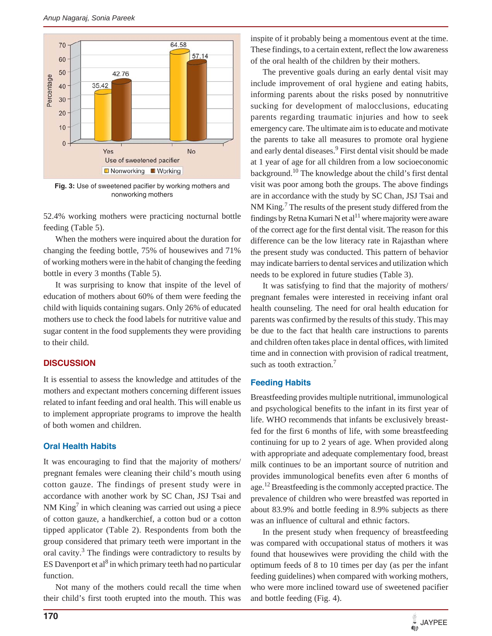

**Fig. 3:** Use of sweetened pacifier by working mothers and nonworking mothers

52.4% working mothers were practicing nocturnal bottle feeding (Table 5).

When the mothers were inquired about the duration for changing the feeding bottle, 75% of housewives and 71% of working mothers were in the habit of changing the feeding bottle in every 3 months (Table 5).

It was surprising to know that inspite of the level of education of mothers about 60% of them were feeding the child with liquids containing sugars. Only 26% of educated mothers use to check the food labels for nutritive value and sugar content in the food supplements they were providing to their child.

#### **DISCUSSION**

It is essential to assess the knowledge and attitudes of the mothers and expectant mothers concerning different issues related to infant feeding and oral health. This will enable us to implement appropriate programs to improve the health of both women and children.

### **Oral Health Habits**

It was encouraging to find that the majority of mothers/ pregnant females were cleaning their child's mouth using cotton gauze. The findings of present study were in accordance with another work by SC Chan, JSJ Tsai and NM  $King<sup>7</sup>$  in which cleaning was carried out using a piece of cotton gauze, a handkerchief, a cotton bud or a cotton tipped applicator (Table 2). Respondents from both the group considered that primary teeth were important in the oral cavity.<sup>3</sup> The findings were contradictory to results by ES Davenport et al<sup>8</sup> in which primary teeth had no particular function.

Not many of the mothers could recall the time when their child's first tooth erupted into the mouth. This was inspite of it probably being a momentous event at the time. These findings, to a certain extent, reflect the low awareness of the oral health of the children by their mothers.

The preventive goals during an early dental visit may include improvement of oral hygiene and eating habits, informing parents about the risks posed by nonnutritive sucking for development of malocclusions, educating parents regarding traumatic injuries and how to seek emergency care. The ultimate aim is to educate and motivate the parents to take all measures to promote oral hygiene and early dental diseases.<sup>9</sup> First dental visit should be made at 1 year of age for all children from a low socioeconomic background.10 The knowledge about the child's first dental visit was poor among both the groups. The above findings are in accordance with the study by SC Chan, JSJ Tsai and NM King.<sup>7</sup> The results of the present study differed from the findings by Retna Kumari N et  $al<sup>11</sup>$  where majority were aware of the correct age for the first dental visit. The reason for this difference can be the low literacy rate in Rajasthan where the present study was conducted. This pattern of behavior may indicate barriers to dental services and utilization which needs to be explored in future studies (Table 3).

It was satisfying to find that the majority of mothers/ pregnant females were interested in receiving infant oral health counseling. The need for oral health education for parents was confirmed by the results of this study. This may be due to the fact that health care instructions to parents and children often takes place in dental offices, with limited time and in connection with provision of radical treatment, such as tooth extraction.<sup>7</sup>

# **Feeding Habits**

Breastfeeding provides multiple nutritional, immunological and psychological benefits to the infant in its first year of life. WHO recommends that infants be exclusively breastfed for the first 6 months of life, with some breastfeeding continuing for up to 2 years of age. When provided along with appropriate and adequate complementary food, breast milk continues to be an important source of nutrition and provides immunological benefits even after 6 months of age.<sup>12</sup> Breastfeeding is the commonly accepted practice. The prevalence of children who were breastfed was reported in about 83.9% and bottle feeding in 8.9% subjects as there was an influence of cultural and ethnic factors.

In the present study when frequency of breastfeeding was compared with occupational status of mothers it was found that housewives were providing the child with the optimum feeds of 8 to 10 times per day (as per the infant feeding guidelines) when compared with working mothers, who were more inclined toward use of sweetened pacifier and bottle feeding (Fig. 4).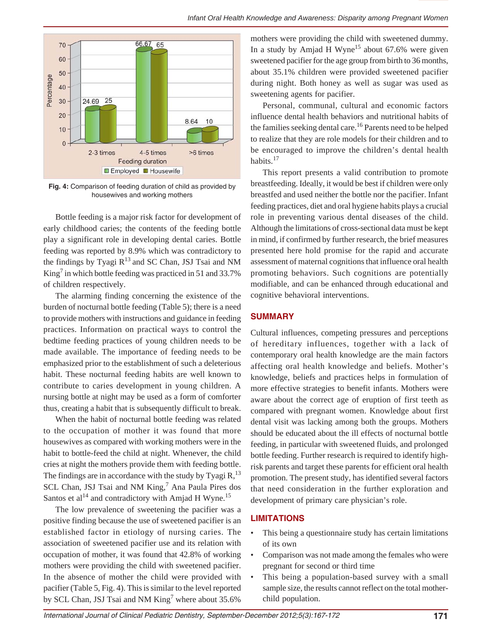

**Fig. 4:** Comparison of feeding duration of child as provided by housewives and working mothers

Bottle feeding is a major risk factor for development of early childhood caries; the contents of the feeding bottle play a significant role in developing dental caries. Bottle feeding was reported by 8.9% which was contradictory to the findings by Tyagi  $R^{13}$  and SC Chan, JSJ Tsai and NM King<sup>7</sup> in which bottle feeding was practiced in 51 and 33.7% of children respectively.

The alarming finding concerning the existence of the burden of nocturnal bottle feeding (Table 5); there is a need to provide mothers with instructions and guidance in feeding practices. Information on practical ways to control the bedtime feeding practices of young children needs to be made available. The importance of feeding needs to be emphasized prior to the establishment of such a deleterious habit. These nocturnal feeding habits are well known to contribute to caries development in young children. A nursing bottle at night may be used as a form of comforter thus, creating a habit that is subsequently difficult to break.

When the habit of nocturnal bottle feeding was related to the occupation of mother it was found that more housewives as compared with working mothers were in the habit to bottle-feed the child at night. Whenever, the child cries at night the mothers provide them with feeding bottle. The findings are in accordance with the study by Tyagi  $R$ ,<sup>13</sup>, SCL Chan, JSJ Tsai and NM King,<sup>7</sup> Ana Paula Pires dos Santos et al<sup>14</sup> and contradictory with Amjad H Wyne.<sup>15</sup>

The low prevalence of sweetening the pacifier was a positive finding because the use of sweetened pacifier is an established factor in etiology of nursing caries. The association of sweetened pacifier use and its relation with occupation of mother, it was found that 42.8% of working mothers were providing the child with sweetened pacifier. In the absence of mother the child were provided with pacifier (Table 5, Fig. 4). This is similar to the level reported by SCL Chan, JSJ Tsai and NM  $\text{King}^7$  where about 35.6%

mothers were providing the child with sweetened dummy. In a study by Amjad H Wyne<sup>15</sup> about  $67.6\%$  were given sweetened pacifier for the age group from birth to 36 months, about 35.1% children were provided sweetened pacifier during night. Both honey as well as sugar was used as sweetening agents for pacifier.

Personal, communal, cultural and economic factors influence dental health behaviors and nutritional habits of the families seeking dental care.<sup>16</sup> Parents need to be helped to realize that they are role models for their children and to be encouraged to improve the children's dental health habits<sup>17</sup>

This report presents a valid contribution to promote breastfeeding. Ideally, it would be best if children were only breastfed and used neither the bottle nor the pacifier. Infant feeding practices, diet and oral hygiene habits plays a crucial role in preventing various dental diseases of the child. Although the limitations of cross-sectional data must be kept in mind, if confirmed by further research, the brief measures presented here hold promise for the rapid and accurate assessment of maternal cognitions that influence oral health promoting behaviors. Such cognitions are potentially modifiable, and can be enhanced through educational and cognitive behavioral interventions.

#### **SUMMARY**

Cultural influences, competing pressures and perceptions of hereditary influences, together with a lack of contemporary oral health knowledge are the main factors affecting oral health knowledge and beliefs. Mother's knowledge, beliefs and practices helps in formulation of more effective strategies to benefit infants. Mothers were aware about the correct age of eruption of first teeth as compared with pregnant women. Knowledge about first dental visit was lacking among both the groups. Mothers should be educated about the ill effects of nocturnal bottle feeding, in particular with sweetened fluids, and prolonged bottle feeding. Further research is required to identify highrisk parents and target these parents for efficient oral health promotion. The present study, has identified several factors that need consideration in the further exploration and development of primary care physician's role.

#### **LIMITATIONS**

- This being a questionnaire study has certain limitations of its own
- Comparison was not made among the females who were pregnant for second or third time
- This being a population-based survey with a small sample size, the results cannot reflect on the total motherchild population.